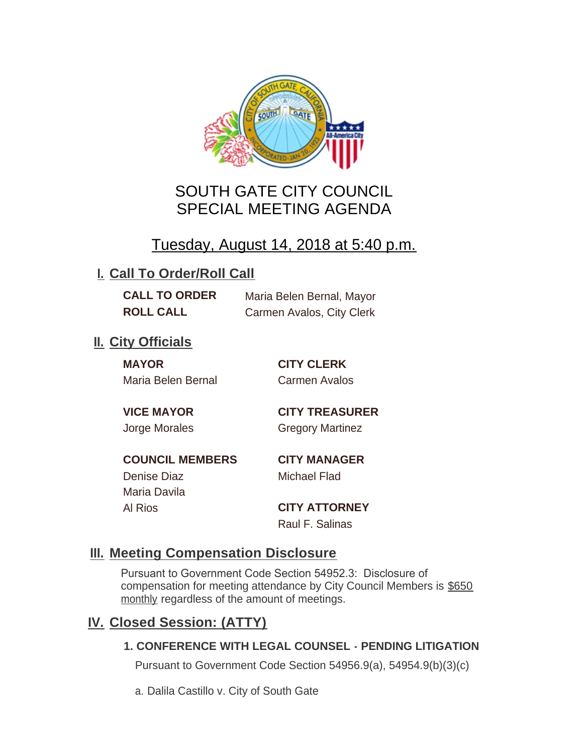

# SOUTH GATE CITY COUNCIL SPECIAL MEETING AGENDA

# Tuesday, August 14, 2018 at 5:40 p.m.

## **I. Call To Order/Roll Call**

**CALL TO ORDER** Maria Belen Bernal, Mayor **ROLL CALL** Carmen Avalos, City Clerk

## **II.** City Officials

**MAYOR CITY CLERK** Maria Belen Bernal Carmen Avalos

**VICE MAYOR CITY TREASURER** Jorge Morales Gregory Martinez

**COUNCIL MEMBERS CITY MANAGER** Denise Diaz Michael Flad Maria Davila

Al Rios **CITY ATTORNEY**

Raul F. Salinas

### **Meeting Compensation Disclosure III.**

Pursuant to Government Code Section 54952.3: Disclosure of compensation for meeting attendance by City Council Members is \$650 monthly regardless of the amount of meetings.

### **Closed Session: (ATTY) IV.**

#### **1. CONFERENCE WITH LEGAL COUNSEL - PENDING LITIGATION**

Pursuant to Government Code Section 54956.9(a), 54954.9(b)(3)(c)

a. Dalila Castillo v. City of South Gate